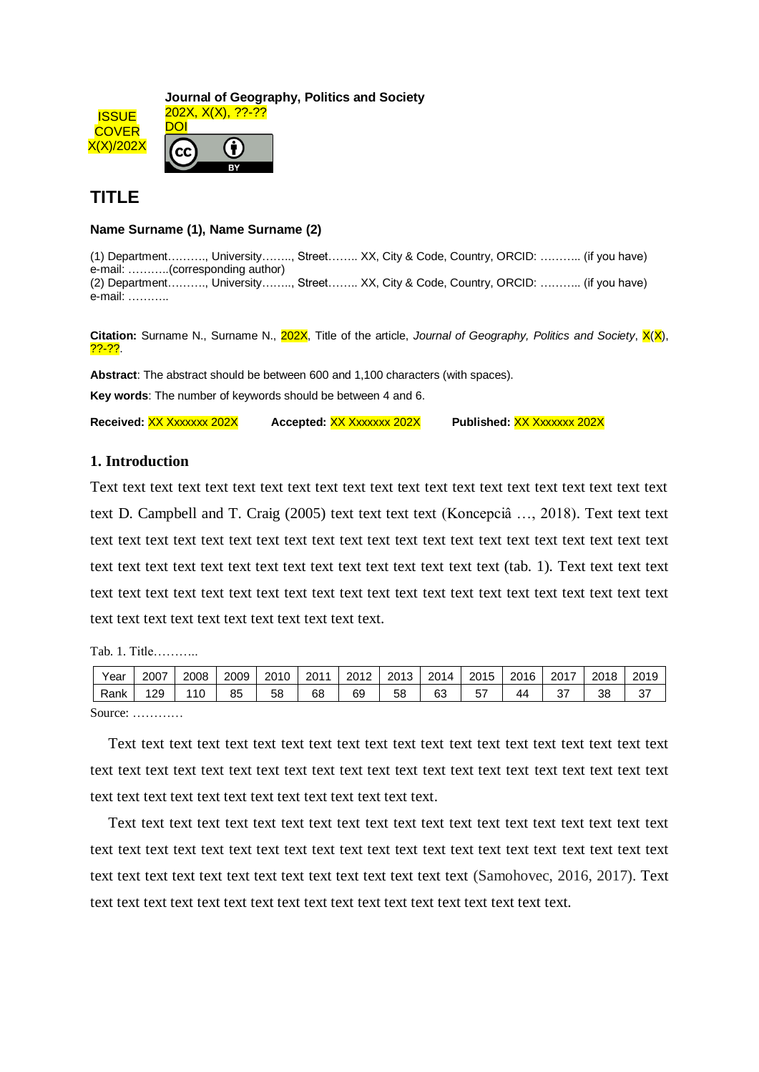**ISSUE COVER** X(X)/202X **Journal of Geography, Politics and Society** 202X, X(X), ??-?? DOI

## **TITLE**

## **Name Surname (1), Name Surname (2)**

(1) Department………., University…….., Street…….. XX, City & Code, Country, ORCID: ……….. (if you have) e-mail: ………..(corresponding author) (2) Department………., University…….., Street…….. XX, City & Code, Country, ORCID: ……….. (if you have) e-mail: ………..

**Citation:** Surname N., Surname N., 202X, Title of the article, *Journal of Geography, Politics and Society*, X(X), <mark>??-??</mark>.

**Abstract**: The abstract should be between 600 and 1,100 characters (with spaces).

**Key words**: The number of keywords should be between 4 and 6.

**Received:** XX Xxxxxxx 202X **Accepted:** XX Xxxxxxx 202X **Published:** XX Xxxxxxx 202X

## **1. Introduction**

Text text text text text text text text text text text text text text text text text text text text text text D. Campbell and T. Craig (2005) text text text text (Koncepciâ …, 2018). Text text text text text text text text text text text text text text text text text text text text text text text text text text text text text text text text text text text text text text text (tab. 1). Text text text text text text text text text text text text text text text text text text text text text text text text text text text text text text text text text text text text.

Tab. 1. Title………..

| Year               | 2007 | 2008 | 2009 | 2010 | 2011 | 2012 | 2013 | 2014 | 2015     | 2016 | 2017      | 2018 | 2019 |
|--------------------|------|------|------|------|------|------|------|------|----------|------|-----------|------|------|
| Rank               | 129  | 110  | 85   | 58   | 68   | 69   | 58   | 63   | E7<br>ວ≀ | 44   | 27<br>، ت | 38   | 37   |
| $C_{\text{OIPAO}}$ |      |      |      |      |      |      |      |      |          |      |           |      |      |

Source: …………

Text text text text text text text text text text text text text text text text text text text text text text text text text text text text text text text text text text text text text text text text text text text text text text text text text text text text text text.

Text text text text text text text text text text text text text text text text text text text text text text text text text text text text text text text text text text text text text text text text text text text text text text text text text text text text text text text (Samohovec, 2016, 2017). Text text text text text text text text text text text text text text text text text text text.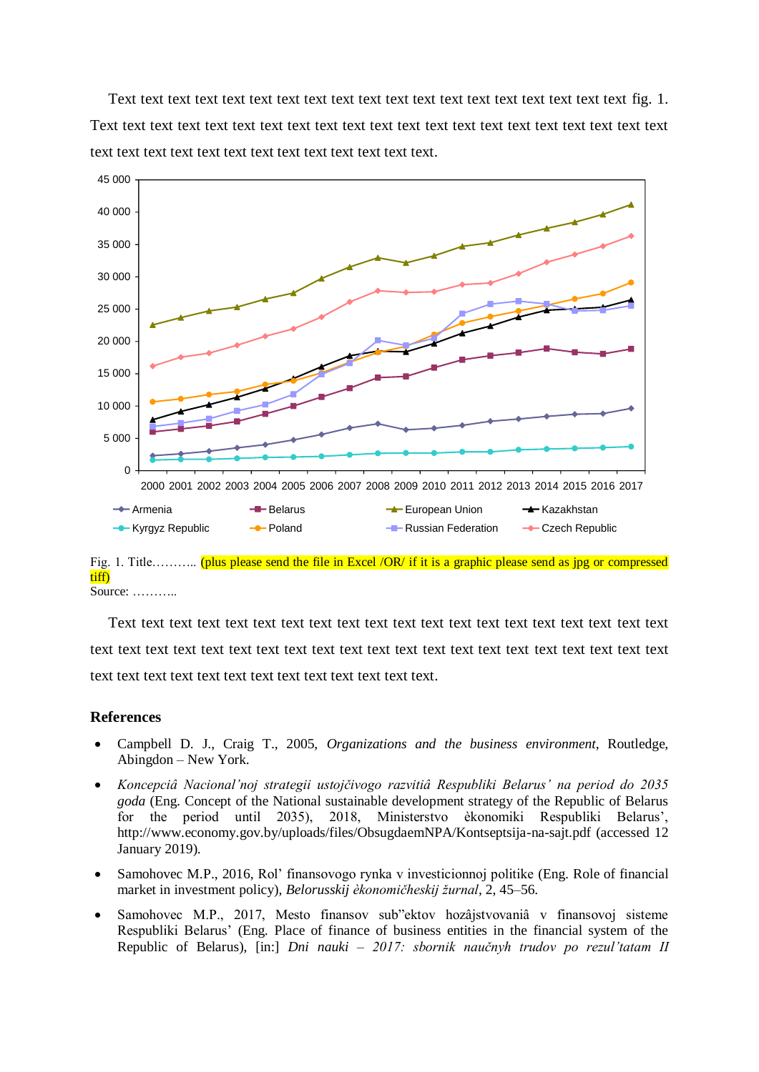Text text text text text text text text text text text text text text text text text text text fig. 1. Text text text text text text text text text text text text text text text text text text text text text text text text text text text text text text text text text text.



tiff) Source: ………..

Text text text text text text text text text text text text text text text text text text text text text text text text text text text text text text text text text text text text text text text text text text text text text text text text text text text text text text.

## **References**

- Campbell D. J., Craig T., 2005, *Organizations and the business environment*, Routledge, Abingdon – New York.
- *Koncepciâ Nacional'noj strategii ustojčivogo razvitiâ Respubliki Belarus' na period do 2035 goda* (Eng. Concept of the National sustainable development strategy of the Republic of Belarus for the period until 2035), 2018, Ministerstvo èkonomiki Respubliki Belarus', <http://www.economy.gov.by/uploads/files/ObsugdaemNPA/Kontseptsija-na-sajt.pdf> (accessed 12 January 2019).
- Samohovec M.P., 2016, Rol' finansovogo rynka v investicionnoj politike (Eng. Role of financial market in investment policy), *Belorusskij èkonomičheskij žurnal*, 2, 45–56.
- Samohovec M.P., 2017, Mesto finansov sub"ektov hozâjstvovaniâ v finansovoj sisteme Respubliki Belarus' (Eng. Place of finance of business entities in the financial system of the Republic of Belarus), [in:] *Dni nauki – 2017: sbornik naučnyh trudov po rezul'tatam II*